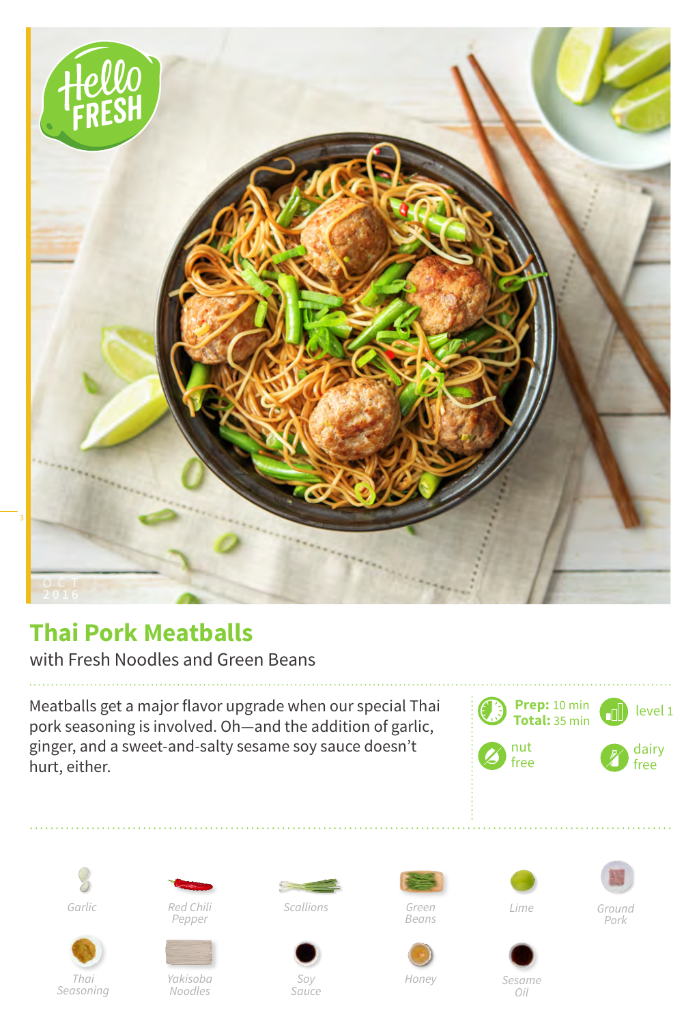

## **Thai Pork Meatballs**

with Fresh Noodles and Green Beans

Meatballs get a major flavor upgrade when our special Thai pork seasoning is involved. Oh—and the addition of garlic, ginger, and a sweet-and-salty sesame soy sauce doesn't hurt, either.







*Red Chili Pepper*



*Noodles*



*Sauce*

*Scallions*

i.

*Green Beans*



*Ground Pork*



*Sesame* 

*Honey*

*Oil*